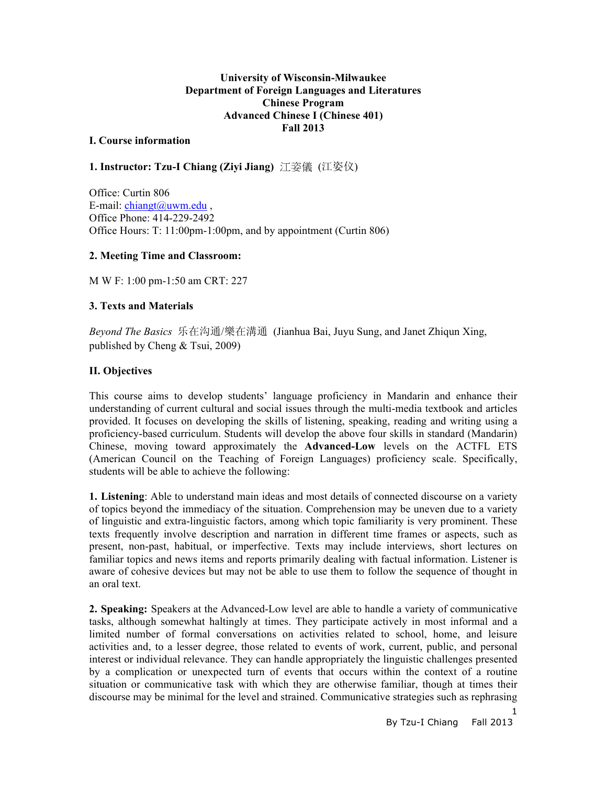## **University of Wisconsin-Milwaukee Department of Foreign Languages and Literatures Chinese Program Advanced Chinese I (Chinese 401) Fall 2013**

#### **I. Course information**

# **1. Instructor: Tzu-I Chiang (Ziyi Jiang)** 江姿儀 (江姿仪)

Office: Curtin 806 E-mail:  $\text{chiangt}(a)$ uwm.edu, Office Phone: 414-229-2492 Office Hours: T: 11:00pm-1:00pm, and by appointment (Curtin 806)

## **2. Meeting Time and Classroom:**

M W F: 1:00 pm-1:50 am CRT: 227

### **3. Texts and Materials**

*Beyond The Basics* 乐在沟通/樂在溝通 (Jianhua Bai, Juyu Sung, and Janet Zhiqun Xing, published by Cheng & Tsui, 2009)

# **II. Objectives**

This course aims to develop students' language proficiency in Mandarin and enhance their understanding of current cultural and social issues through the multi-media textbook and articles provided. It focuses on developing the skills of listening, speaking, reading and writing using a proficiency-based curriculum. Students will develop the above four skills in standard (Mandarin) Chinese, moving toward approximately the **Advanced-Low** levels on the ACTFL ETS (American Council on the Teaching of Foreign Languages) proficiency scale. Specifically, students will be able to achieve the following:

**1. Listening**: Able to understand main ideas and most details of connected discourse on a variety of topics beyond the immediacy of the situation. Comprehension may be uneven due to a variety of linguistic and extra-linguistic factors, among which topic familiarity is very prominent. These texts frequently involve description and narration in different time frames or aspects, such as present, non-past, habitual, or imperfective. Texts may include interviews, short lectures on familiar topics and news items and reports primarily dealing with factual information. Listener is aware of cohesive devices but may not be able to use them to follow the sequence of thought in an oral text.

**2. Speaking:** Speakers at the Advanced-Low level are able to handle a variety of communicative tasks, although somewhat haltingly at times. They participate actively in most informal and a limited number of formal conversations on activities related to school, home, and leisure activities and, to a lesser degree, those related to events of work, current, public, and personal interest or individual relevance. They can handle appropriately the linguistic challenges presented by a complication or unexpected turn of events that occurs within the context of a routine situation or communicative task with which they are otherwise familiar, though at times their discourse may be minimal for the level and strained. Communicative strategies such as rephrasing

1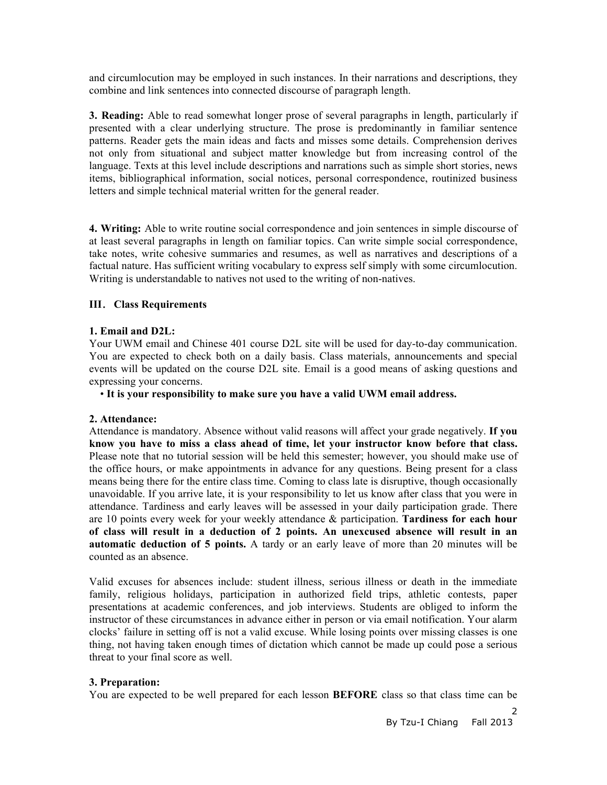and circumlocution may be employed in such instances. In their narrations and descriptions, they combine and link sentences into connected discourse of paragraph length.

**3. Reading:** Able to read somewhat longer prose of several paragraphs in length, particularly if presented with a clear underlying structure. The prose is predominantly in familiar sentence patterns. Reader gets the main ideas and facts and misses some details. Comprehension derives not only from situational and subject matter knowledge but from increasing control of the language. Texts at this level include descriptions and narrations such as simple short stories, news items, bibliographical information, social notices, personal correspondence, routinized business letters and simple technical material written for the general reader.

**4. Writing:** Able to write routine social correspondence and join sentences in simple discourse of at least several paragraphs in length on familiar topics. Can write simple social correspondence, take notes, write cohesive summaries and resumes, as well as narratives and descriptions of a factual nature. Has sufficient writing vocabulary to express self simply with some circumlocution. Writing is understandable to natives not used to the writing of non-natives.

### **III**.**Class Requirements**

# **1. Email and D2L:**

Your UWM email and Chinese 401 course D2L site will be used for day-to-day communication. You are expected to check both on a daily basis. Class materials, announcements and special events will be updated on the course D2L site. Email is a good means of asking questions and expressing your concerns.

• **It is your responsibility to make sure you have a valid UWM email address.**

### **2. Attendance:**

Attendance is mandatory. Absence without valid reasons will affect your grade negatively. **If you know you have to miss a class ahead of time, let your instructor know before that class.** Please note that no tutorial session will be held this semester; however, you should make use of the office hours, or make appointments in advance for any questions. Being present for a class means being there for the entire class time. Coming to class late is disruptive, though occasionally unavoidable. If you arrive late, it is your responsibility to let us know after class that you were in attendance. Tardiness and early leaves will be assessed in your daily participation grade. There are 10 points every week for your weekly attendance & participation. **Tardiness for each hour of class will result in a deduction of 2 points. An unexcused absence will result in an automatic deduction of 5 points.** A tardy or an early leave of more than 20 minutes will be counted as an absence.

Valid excuses for absences include: student illness, serious illness or death in the immediate family, religious holidays, participation in authorized field trips, athletic contests, paper presentations at academic conferences, and job interviews. Students are obliged to inform the instructor of these circumstances in advance either in person or via email notification. Your alarm clocks' failure in setting off is not a valid excuse. While losing points over missing classes is one thing, not having taken enough times of dictation which cannot be made up could pose a serious threat to your final score as well.

### **3. Preparation:**

You are expected to be well prepared for each lesson **BEFORE** class so that class time can be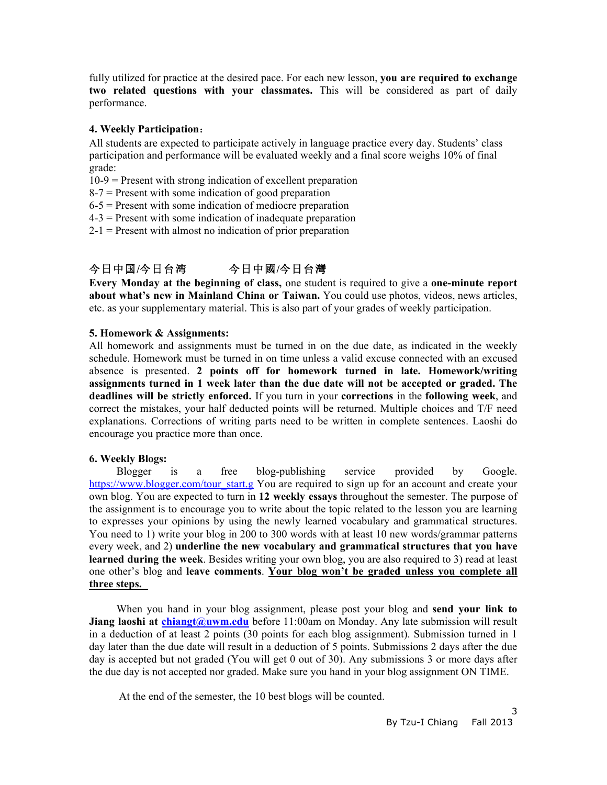fully utilized for practice at the desired pace. For each new lesson, **you are required to exchange two related questions with your classmates.** This will be considered as part of daily performance.

## **4. Weekly Participation**:

All students are expected to participate actively in language practice every day. Students' class participation and performance will be evaluated weekly and a final score weighs 10% of final grade:

10-9 = Present with strong indication of excellent preparation

 $8-7$  = Present with some indication of good preparation

- $6-5$  = Present with some indication of mediocre preparation
- 4-3 = Present with some indication of inadequate preparation
- $2-1$  = Present with almost no indication of prior preparation

# 今日中国**/**今日台湾今日中國**/**今日台灣

**Every Monday at the beginning of class,** one student is required to give a **one-minute report about what's new in Mainland China or Taiwan.** You could use photos, videos, news articles, etc. as your supplementary material. This is also part of your grades of weekly participation.

# **5. Homework & Assignments:**

All homework and assignments must be turned in on the due date, as indicated in the weekly schedule. Homework must be turned in on time unless a valid excuse connected with an excused absence is presented. **2 points off for homework turned in late. Homework/writing assignments turned in 1 week later than the due date will not be accepted or graded. The deadlines will be strictly enforced.** If you turn in your **corrections** in the **following week**, and correct the mistakes, your half deducted points will be returned. Multiple choices and T/F need explanations. Corrections of writing parts need to be written in complete sentences. Laoshi do encourage you practice more than once.

# **6. Weekly Blogs:**

 Blogger is a free blog-publishing service provided by Google. https://www.blogger.com/tour\_start.g You are required to sign up for an account and create your own blog. You are expected to turn in **12 weekly essays** throughout the semester. The purpose of the assignment is to encourage you to write about the topic related to the lesson you are learning to expresses your opinions by using the newly learned vocabulary and grammatical structures. You need to 1) write your blog in 200 to 300 words with at least 10 new words/grammar patterns every week, and 2) **underline the new vocabulary and grammatical structures that you have learned during the week**. Besides writing your own blog, you are also required to 3) read at least one other's blog and **leave comments**. **Your blog won't be graded unless you complete all three steps.** 

 When you hand in your blog assignment, please post your blog and **send your link to**  Jiang laoshi at *chiangt@uwm.edu* before 11:00am on Monday. Any late submission will result in a deduction of at least 2 points (30 points for each blog assignment). Submission turned in 1 day later than the due date will result in a deduction of 5 points. Submissions 2 days after the due day is accepted but not graded (You will get 0 out of 30). Any submissions 3 or more days after the due day is not accepted nor graded. Make sure you hand in your blog assignment ON TIME.

At the end of the semester, the 10 best blogs will be counted.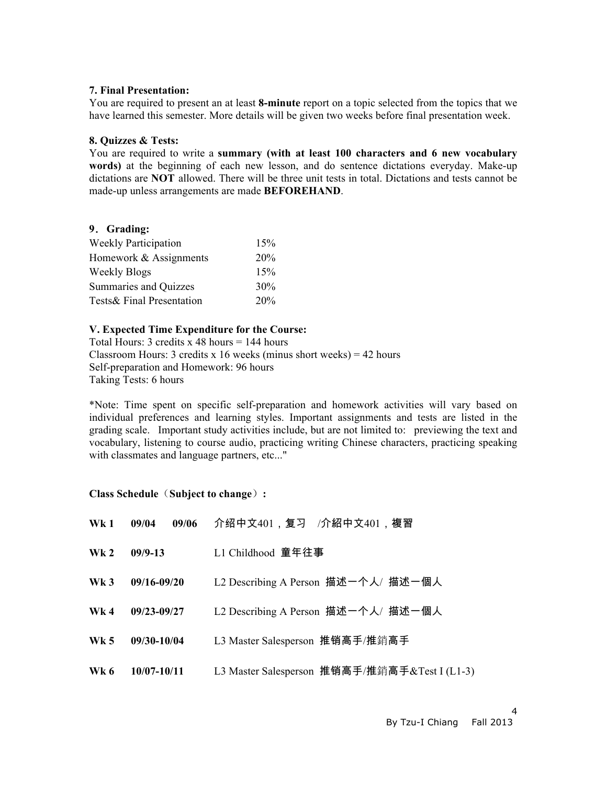#### **7. Final Presentation:**

You are required to present an at least **8-minute** report on a topic selected from the topics that we have learned this semester. More details will be given two weeks before final presentation week.

#### **8. Quizzes & Tests:**

You are required to write a **summary (with at least 100 characters and 6 new vocabulary words)** at the beginning of each new lesson, and do sentence dictations everyday. Make-up dictations are **NOT** allowed. There will be three unit tests in total. Dictations and tests cannot be made-up unless arrangements are made **BEFOREHAND**.

### **9**.**Grading:**

| <b>Weekly Participation</b>  | 15% |
|------------------------------|-----|
| Homework & Assignments       | 20% |
| <b>Weekly Blogs</b>          | 15% |
| <b>Summaries and Quizzes</b> | 30% |
| Tests& Final Presentation    | 20% |

# **V. Expected Time Expenditure for the Course:**

Total Hours: 3 credits x 48 hours = 144 hours Classroom Hours: 3 credits x 16 weeks (minus short weeks) = 42 hours Self-preparation and Homework: 96 hours Taking Tests: 6 hours

\*Note: Time spent on specific self-preparation and homework activities will vary based on individual preferences and learning styles. Important assignments and tests are listed in the grading scale. Important study activities include, but are not limited to: previewing the text and vocabulary, listening to course audio, practicing writing Chinese characters, practicing speaking with classmates and language partners, etc..."

### **Class Schedule**(**Subject to change**)**:**

| Wk1             | 09/06<br>09/04  | 介绍中文401,复习 /介紹中文401,複習                        |
|-----------------|-----------------|-----------------------------------------------|
| Wk <sub>2</sub> | $09/9-13$       | L1 Childhood 童年往事                             |
| $\mathbf{Wk}$ 3 | $09/16 - 09/20$ | L2 Describing A Person 描述一个人/ 描述一個人           |
| Wk <sub>4</sub> | $09/23 - 09/27$ | L2 Describing A Person 描述一个人/ 描述一個人           |
| Wk <sub>5</sub> | 09/30-10/04     | L3 Master Salesperson 推销高手/推銷高手               |
| Wk 6            | 10/07-10/11     | L3 Master Salesperson 推销高手/推銷高手&Test I (L1-3) |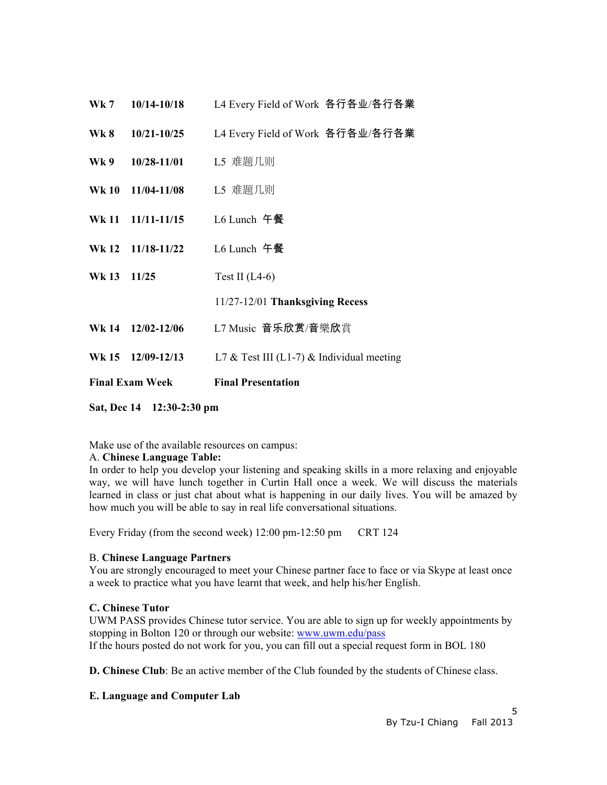| <b>Final Exam Week</b> |                               | <b>Final Presentation</b>                 |
|------------------------|-------------------------------|-------------------------------------------|
|                        | Wk 15 12/09-12/13             | L7 & Test III (L1-7) & Individual meeting |
|                        | Wk 14 12/02-12/06             | L7 Music 音乐欣赏/音樂欣賞                        |
|                        |                               | 11/27-12/01 Thanksgiving Recess           |
| Wk 13 11/25            |                               | Test II $(L4-6)$                          |
|                        | Wk 12 11/18-11/22             | $L6$ Lunch 午餐                             |
|                        | Wk 11 11/11-11/15 L6 Lunch 午餐 |                                           |
|                        | Wk 10 11/04-11/08             | L5 难题几则                                   |
|                        | Wk 9 10/28-11/01              | L5 难题几则                                   |
|                        | Wk 8 10/21-10/25              | L4 Every Field of Work 各行各业/各行各業          |
| <b>Wk 7</b>            | 10/14-10/18                   | L4 Every Field of Work 各行各业/各行各業          |

**Sat, Dec 14 12:30-2:30 pm**

Make use of the available resources on campus:

# A. **Chinese Language Table:**

In order to help you develop your listening and speaking skills in a more relaxing and enjoyable way, we will have lunch together in Curtin Hall once a week. We will discuss the materials learned in class or just chat about what is happening in our daily lives. You will be amazed by how much you will be able to say in real life conversational situations.

Every Friday (from the second week) 12:00 pm-12:50 pm CRT 124

### B. **Chinese Language Partners**

You are strongly encouraged to meet your Chinese partner face to face or via Skype at least once a week to practice what you have learnt that week, and help his/her English.

# **C. Chinese Tutor**

UWM PASS provides Chinese tutor service. You are able to sign up for weekly appointments by stopping in Bolton 120 or through our website: www.uwm.edu/pass If the hours posted do not work for you, you can fill out a special request form in BOL 180

**D. Chinese Club**: Be an active member of the Club founded by the students of Chinese class.

# **E. Language and Computer Lab**